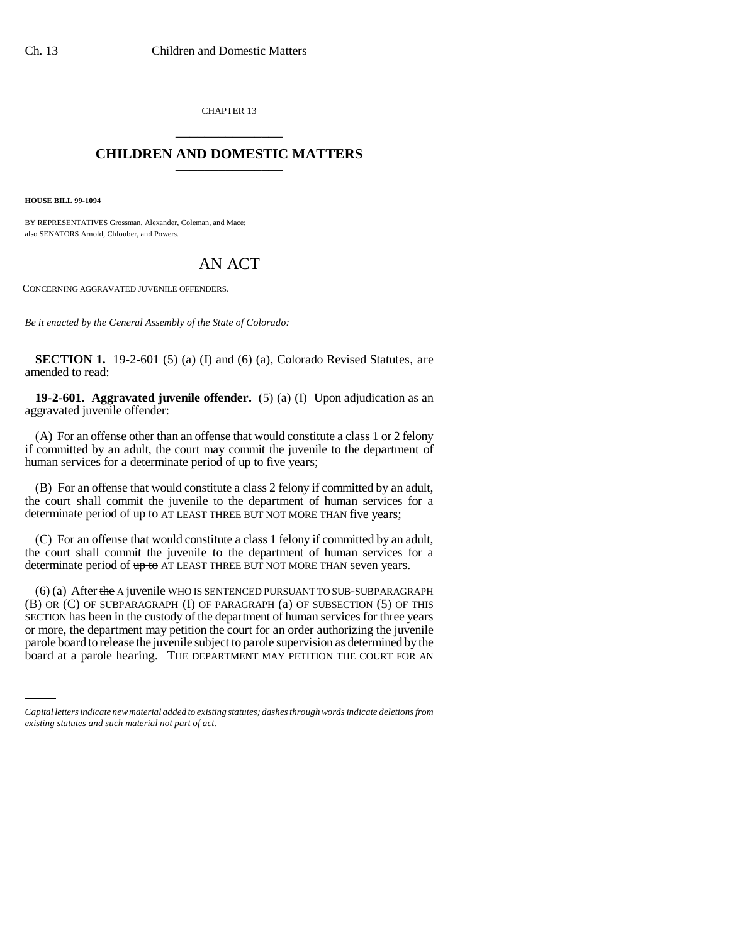CHAPTER 13 \_\_\_\_\_\_\_\_\_\_\_\_\_\_\_

## **CHILDREN AND DOMESTIC MATTERS** \_\_\_\_\_\_\_\_\_\_\_\_\_\_\_

**HOUSE BILL 99-1094**

BY REPRESENTATIVES Grossman, Alexander, Coleman, and Mace; also SENATORS Arnold, Chlouber, and Powers.

## AN ACT

CONCERNING AGGRAVATED JUVENILE OFFENDERS.

*Be it enacted by the General Assembly of the State of Colorado:*

**SECTION 1.** 19-2-601 (5) (a) (I) and (6) (a), Colorado Revised Statutes, are amended to read:

**19-2-601. Aggravated juvenile offender.** (5) (a) (I) Upon adjudication as an aggravated juvenile offender:

(A) For an offense other than an offense that would constitute a class 1 or 2 felony if committed by an adult, the court may commit the juvenile to the department of human services for a determinate period of up to five years;

(B) For an offense that would constitute a class 2 felony if committed by an adult, the court shall commit the juvenile to the department of human services for a determinate period of up to AT LEAST THREE BUT NOT MORE THAN five years;

(C) For an offense that would constitute a class 1 felony if committed by an adult, the court shall commit the juvenile to the department of human services for a determinate period of  $up to AT LEAST THE E BUT NOT MORE THAT Seven years.$ 

or more, the department may petuted the court for an order additional me juvenile<br>parole board to release the juvenile subject to parole supervision as determined by the  $(6)$  (a) After the A juvenile WHO IS SENTENCED PURSUANT TO SUB-SUBPARAGRAPH (B) OR (C) OF SUBPARAGRAPH (I) OF PARAGRAPH (a) OF SUBSECTION (5) OF THIS SECTION has been in the custody of the department of human services for three years or more, the department may petition the court for an order authorizing the juvenile board at a parole hearing. THE DEPARTMENT MAY PETITION THE COURT FOR AN

*Capital letters indicate new material added to existing statutes; dashes through words indicate deletions from existing statutes and such material not part of act.*